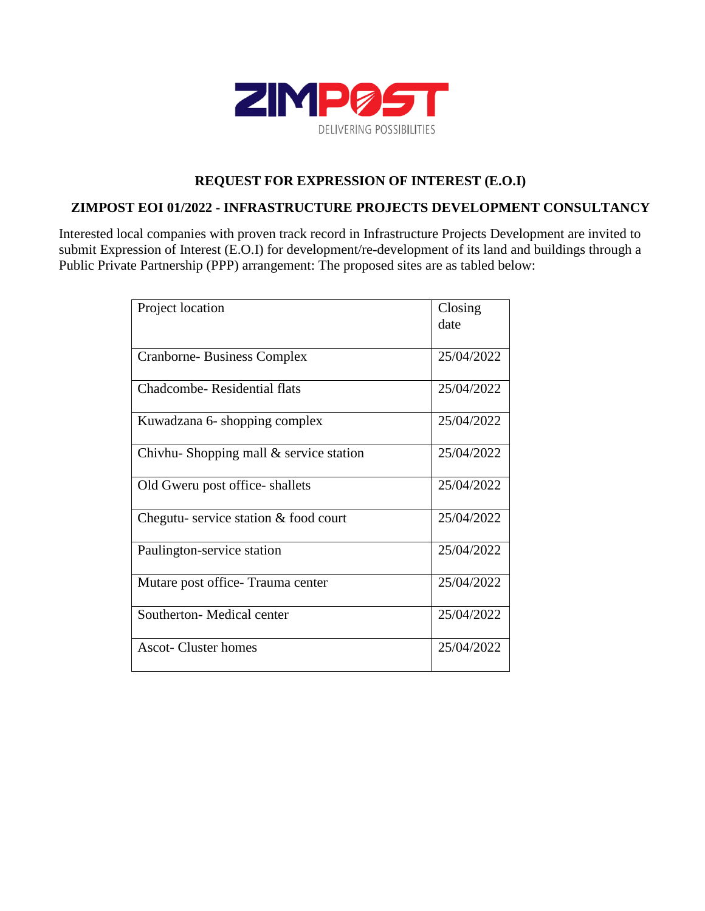

## **REQUEST FOR EXPRESSION OF INTEREST (E.O.I)**

## **ZIMPOST EOI 01/2022 - INFRASTRUCTURE PROJECTS DEVELOPMENT CONSULTANCY**

Interested local companies with proven track record in Infrastructure Projects Development are invited to submit Expression of Interest (E.O.I) for development/re-development of its land and buildings through a Public Private Partnership (PPP) arrangement: The proposed sites are as tabled below:

| Project location                         | Closing    |
|------------------------------------------|------------|
|                                          | date       |
|                                          |            |
| <b>Cranborne-Business Complex</b>        | 25/04/2022 |
| Chadcombe-Residential flats              | 25/04/2022 |
| Kuwadzana 6- shopping complex            | 25/04/2022 |
| Chivhu-Shopping mall $&$ service station | 25/04/2022 |
| Old Gweru post office-shallets           | 25/04/2022 |
| Chegutu-service station & food court     | 25/04/2022 |
| Paulington-service station               | 25/04/2022 |
| Mutare post office - Trauma center       | 25/04/2022 |
| Southerton- Medical center               | 25/04/2022 |
| Ascot-Cluster homes                      | 25/04/2022 |